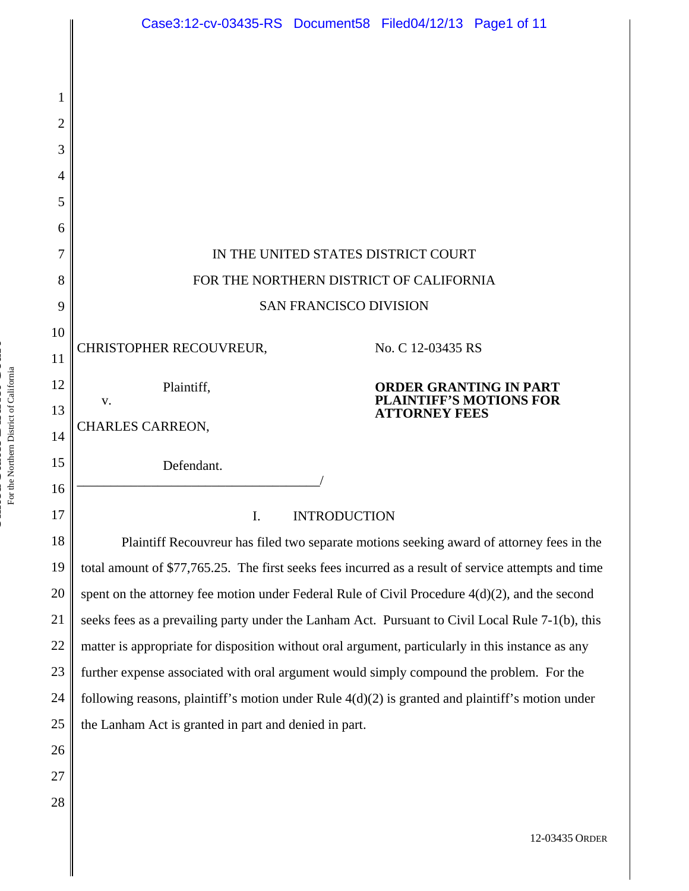|          | Case3:12-cv-03435-RS Document58 Filed04/12/13 Page1 of 11                                           |
|----------|-----------------------------------------------------------------------------------------------------|
|          |                                                                                                     |
|          |                                                                                                     |
|          |                                                                                                     |
| 2        |                                                                                                     |
| 3        |                                                                                                     |
| 4        |                                                                                                     |
| 5        |                                                                                                     |
| 6        |                                                                                                     |
| 7        | IN THE UNITED STATES DISTRICT COURT                                                                 |
| 8        | FOR THE NORTHERN DISTRICT OF CALIFORNIA                                                             |
| 9        | <b>SAN FRANCISCO DIVISION</b>                                                                       |
| 10       | CHRISTOPHER RECOUVREUR,<br>No. C 12-03435 RS                                                        |
| 11       |                                                                                                     |
| 12       | <b>ORDER GRANTING IN PART</b><br>Plaintiff,<br><b>PLAINTIFF'S MOTIONS FOR</b><br>V.                 |
| 13       | <b>ATTORNEY FEES</b><br><b>CHARLES CARREON,</b>                                                     |
| 14       |                                                                                                     |
| 15       | Defendant.                                                                                          |
| 16<br>17 | I.<br><b>INTRODUCTION</b>                                                                           |
| 18       | Plaintiff Recouvreur has filed two separate motions seeking award of attorney fees in the           |
| 19       | total amount of \$77,765.25. The first seeks fees incurred as a result of service attempts and time |
| 20       | spent on the attorney fee motion under Federal Rule of Civil Procedure $4(d)(2)$ , and the second   |
| 21       | seeks fees as a prevailing party under the Lanham Act. Pursuant to Civil Local Rule 7-1(b), this    |
| 22       | matter is appropriate for disposition without oral argument, particularly in this instance as any   |
| 23       | further expense associated with oral argument would simply compound the problem. For the            |
| 24       | following reasons, plaintiff's motion under Rule $4(d)(2)$ is granted and plaintiff's motion under  |
| 25       | the Lanham Act is granted in part and denied in part.                                               |
| 26       |                                                                                                     |

i.

II

12-03435 ORDER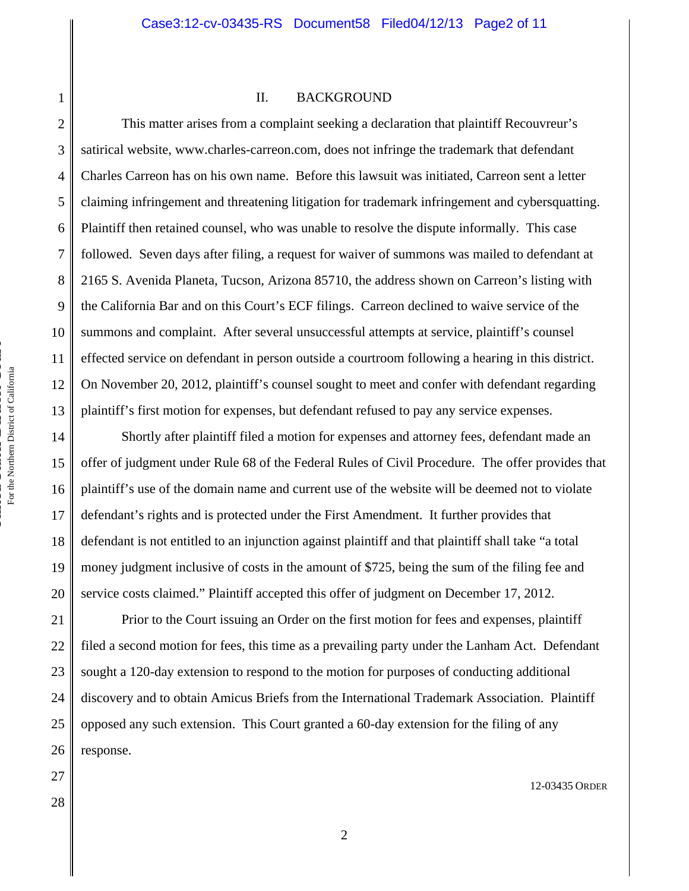# 1 2 3

4

5

6

7

8

9

10

11

12

13

15

16

17

18

19

20

21

22

23

24

25

26

27

28

# II. BACKGROUND

This matter arises from a complaint seeking a declaration that plaintiff Recouvreur's satirical website, www.charles-carreon.com, does not infringe the trademark that defendant Charles Carreon has on his own name. Before this lawsuit was initiated, Carreon sent a letter claiming infringement and threatening litigation for trademark infringement and cybersquatting. Plaintiff then retained counsel, who was unable to resolve the dispute informally. This case followed. Seven days after filing, a request for waiver of summons was mailed to defendant at 2165 S. Avenida Planeta, Tucson, Arizona 85710, the address shown on Carreon's listing with the California Bar and on this Court's ECF filings. Carreon declined to waive service of the summons and complaint. After several unsuccessful attempts at service, plaintiff's counsel effected service on defendant in person outside a courtroom following a hearing in this district. On November 20, 2012, plaintiff's counsel sought to meet and confer with defendant regarding plaintiff's first motion for expenses, but defendant refused to pay any service expenses.

14 Shortly after plaintiff filed a motion for expenses and attorney fees, defendant made an offer of judgment under Rule 68 of the Federal Rules of Civil Procedure. The offer provides that plaintiff's use of the domain name and current use of the website will be deemed not to violate defendant's rights and is protected under the First Amendment. It further provides that defendant is not entitled to an injunction against plaintiff and that plaintiff shall take "a total money judgment inclusive of costs in the amount of \$725, being the sum of the filing fee and service costs claimed." Plaintiff accepted this offer of judgment on December 17, 2012.

 Prior to the Court issuing an Order on the first motion for fees and expenses, plaintiff filed a second motion for fees, this time as a prevailing party under the Lanham Act. Defendant sought a 120-day extension to respond to the motion for purposes of conducting additional discovery and to obtain Amicus Briefs from the International Trademark Association. Plaintiff opposed any such extension. This Court granted a 60-day extension for the filing of any response.

For the Northern District of California

For the Northern District of California

12-03435 ORDER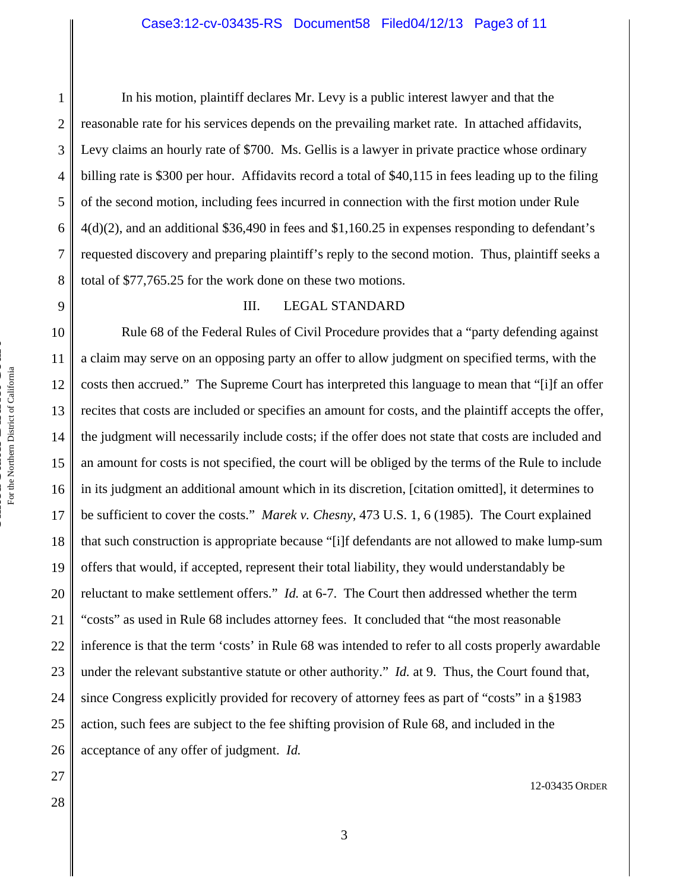In his motion, plaintiff declares Mr. Levy is a public interest lawyer and that the reasonable rate for his services depends on the prevailing market rate. In attached affidavits, Levy claims an hourly rate of \$700. Ms. Gellis is a lawyer in private practice whose ordinary billing rate is \$300 per hour. Affidavits record a total of \$40,115 in fees leading up to the filing of the second motion, including fees incurred in connection with the first motion under Rule  $4(d)(2)$ , and an additional \$36,490 in fees and \$1,160.25 in expenses responding to defendant's requested discovery and preparing plaintiff's reply to the second motion. Thus, plaintiff seeks a total of \$77,765.25 for the work done on these two motions.

# III. LEGAL STANDARD

10 12 13 14 15 16 17 18 19 20 21 22 23 24 25 26 Rule 68 of the Federal Rules of Civil Procedure provides that a "party defending against a claim may serve on an opposing party an offer to allow judgment on specified terms, with the costs then accrued." The Supreme Court has interpreted this language to mean that "[i]f an offer recites that costs are included or specifies an amount for costs, and the plaintiff accepts the offer, the judgment will necessarily include costs; if the offer does not state that costs are included and an amount for costs is not specified, the court will be obliged by the terms of the Rule to include in its judgment an additional amount which in its discretion, [citation omitted], it determines to be sufficient to cover the costs." *Marek v. Chesny*, 473 U.S. 1, 6 (1985). The Court explained that such construction is appropriate because "[i]f defendants are not allowed to make lump-sum offers that would, if accepted, represent their total liability, they would understandably be reluctant to make settlement offers." *Id.* at 6-7. The Court then addressed whether the term "costs" as used in Rule 68 includes attorney fees. It concluded that "the most reasonable inference is that the term 'costs' in Rule 68 was intended to refer to all costs properly awardable under the relevant substantive statute or other authority." *Id.* at 9. Thus, the Court found that, since Congress explicitly provided for recovery of attorney fees as part of "costs" in a §1983 action, such fees are subject to the fee shifting provision of Rule 68, and included in the acceptance of any offer of judgment. *Id.*

1

2

3

4

5

6

7

8

9

11

27

28

12-03435 ORDER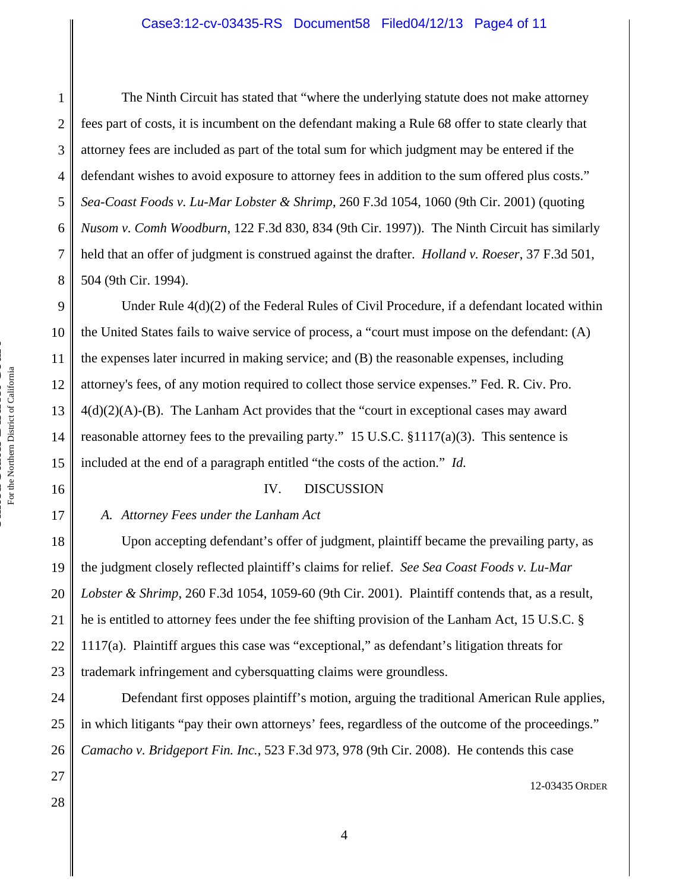6 The Ninth Circuit has stated that "where the underlying statute does not make attorney fees part of costs, it is incumbent on the defendant making a Rule 68 offer to state clearly that attorney fees are included as part of the total sum for which judgment may be entered if the defendant wishes to avoid exposure to attorney fees in addition to the sum offered plus costs." *Sea-Coast Foods v. Lu-Mar Lobster & Shrimp*, 260 F.3d 1054, 1060 (9th Cir. 2001) (quoting *Nusom v. Comh Woodburn*, 122 F.3d 830, 834 (9th Cir. 1997)). The Ninth Circuit has similarly held that an offer of judgment is construed against the drafter. *Holland v. Roeser*, 37 F.3d 501, 504 (9th Cir. 1994).

9 10 11 12 Under Rule 4(d)(2) of the Federal Rules of Civil Procedure, if a defendant located within the United States fails to waive service of process, a "court must impose on the defendant: (A) the expenses later incurred in making service; and (B) the reasonable expenses, including attorney's fees, of any motion required to collect those service expenses." Fed. R. Civ. Pro.  $4(d)(2)(A)-B$ . The Lanham Act provides that the "court in exceptional cases may award reasonable attorney fees to the prevailing party." 15 U.S.C. §1117(a)(3). This sentence is included at the end of a paragraph entitled "the costs of the action." *Id.*

## IV. DISCUSSION

# *A. Attorney Fees under the Lanham Act*

 Upon accepting defendant's offer of judgment, plaintiff became the prevailing party, as the judgment closely reflected plaintiff's claims for relief. *See Sea Coast Foods v. Lu-Mar Lobster & Shrimp*, 260 F.3d 1054, 1059-60 (9th Cir. 2001). Plaintiff contends that, as a result, he is entitled to attorney fees under the fee shifting provision of the Lanham Act, 15 U.S.C. § 1117(a). Plaintiff argues this case was "exceptional," as defendant's litigation threats for trademark infringement and cybersquatting claims were groundless.

 Defendant first opposes plaintiff's motion, arguing the traditional American Rule applies, in which litigants "pay their own attorneys' fees, regardless of the outcome of the proceedings." *Camacho v. Bridgeport Fin. Inc.*, 523 F.3d 973, 978 (9th Cir. 2008). He contends this case

12-03435 ORDER

1

2

3

4

5

7

8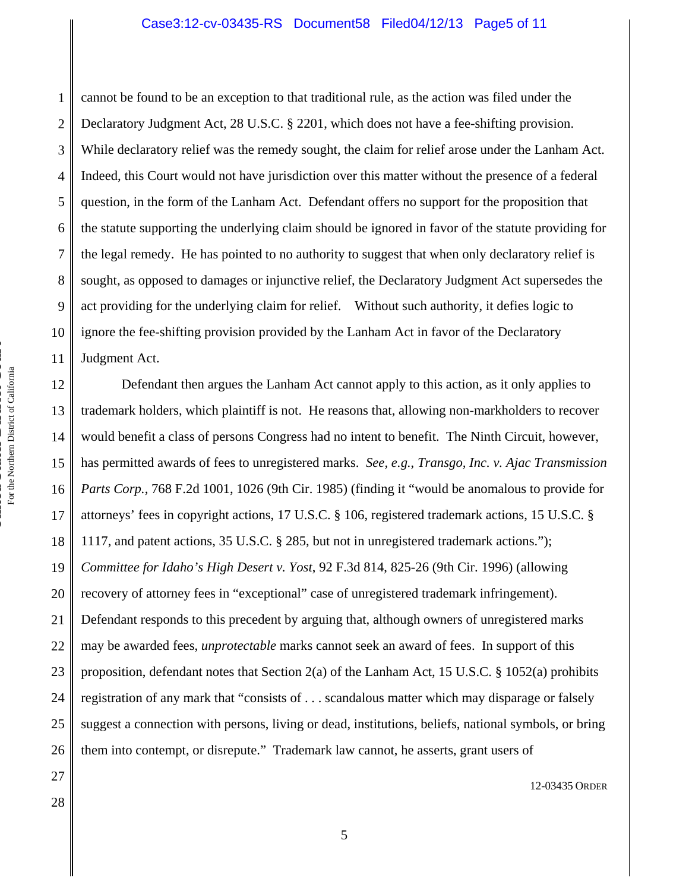#### Case3:12-cv-03435-RS Document58 Filed04/12/13 Page5 of 11

1 2 3 4 5 6 7 8 9 10 11 cannot be found to be an exception to that traditional rule, as the action was filed under the Declaratory Judgment Act, 28 U.S.C. § 2201, which does not have a fee-shifting provision. While declaratory relief was the remedy sought, the claim for relief arose under the Lanham Act. Indeed, this Court would not have jurisdiction over this matter without the presence of a federal question, in the form of the Lanham Act. Defendant offers no support for the proposition that the statute supporting the underlying claim should be ignored in favor of the statute providing for the legal remedy. He has pointed to no authority to suggest that when only declaratory relief is sought, as opposed to damages or injunctive relief, the Declaratory Judgment Act supersedes the act providing for the underlying claim for relief. Without such authority, it defies logic to ignore the fee-shifting provision provided by the Lanham Act in favor of the Declaratory Judgment Act.

12 13 14 15 16 17 18 19 20 21 22 23 24 25 26 Defendant then argues the Lanham Act cannot apply to this action, as it only applies to trademark holders, which plaintiff is not. He reasons that, allowing non-markholders to recover would benefit a class of persons Congress had no intent to benefit. The Ninth Circuit, however, has permitted awards of fees to unregistered marks. *See, e.g.*, *Transgo, Inc. v. Ajac Transmission Parts Corp.*, 768 F.2d 1001, 1026 (9th Cir. 1985) (finding it "would be anomalous to provide for attorneys' fees in copyright actions, 17 U.S.C. § 106, registered trademark actions, 15 U.S.C. § 1117, and patent actions, 35 U.S.C. § 285, but not in unregistered trademark actions."); *Committee for Idaho's High Desert v. Yost*, 92 F.3d 814, 825-26 (9th Cir. 1996) (allowing recovery of attorney fees in "exceptional" case of unregistered trademark infringement). Defendant responds to this precedent by arguing that, although owners of unregistered marks may be awarded fees, *unprotectable* marks cannot seek an award of fees. In support of this proposition, defendant notes that Section 2(a) of the Lanham Act, 15 U.S.C. § 1052(a) prohibits registration of any mark that "consists of . . . scandalous matter which may disparage or falsely suggest a connection with persons, living or dead, institutions, beliefs, national symbols, or bring them into contempt, or disrepute." Trademark law cannot, he asserts, grant users of

5

**United States District Court**

27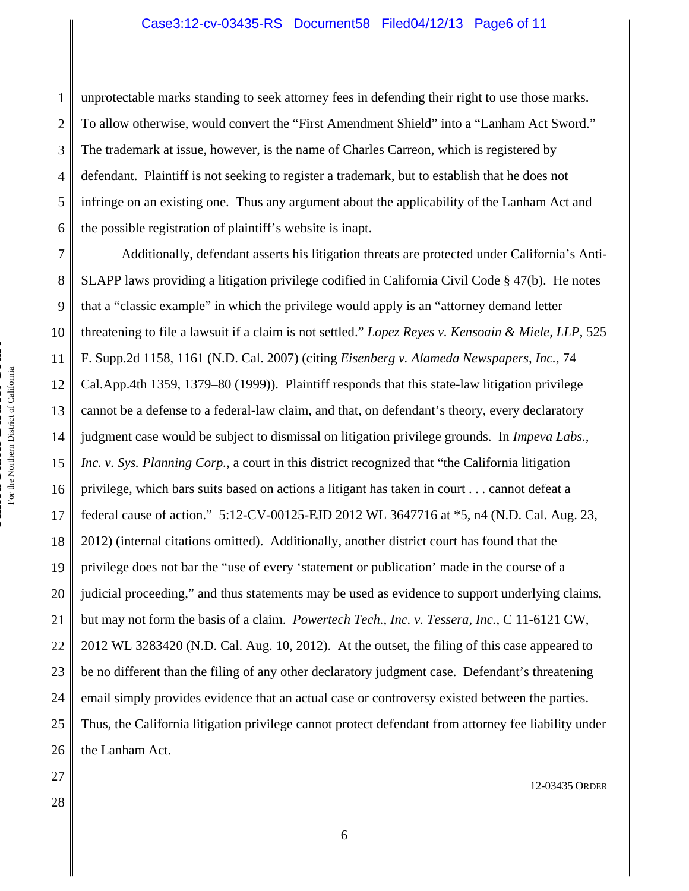1 2 3 4 5 6 unprotectable marks standing to seek attorney fees in defending their right to use those marks. To allow otherwise, would convert the "First Amendment Shield" into a "Lanham Act Sword." The trademark at issue, however, is the name of Charles Carreon, which is registered by defendant. Plaintiff is not seeking to register a trademark, but to establish that he does not infringe on an existing one. Thus any argument about the applicability of the Lanham Act and the possible registration of plaintiff's website is inapt.

7 8 9 10 11 12 13 14 15 16 17 18 19 20 21 22 23 24 25 26 Additionally, defendant asserts his litigation threats are protected under California's Anti-SLAPP laws providing a litigation privilege codified in California Civil Code § 47(b). He notes that a "classic example" in which the privilege would apply is an "attorney demand letter threatening to file a lawsuit if a claim is not settled." *Lopez Reyes v. Kensoain & Miele, LLP*, 525 F. Supp.2d 1158, 1161 (N.D. Cal. 2007) (citing *Eisenberg v. Alameda Newspapers, Inc.,* 74 Cal.App.4th 1359, 1379–80 (1999)). Plaintiff responds that this state-law litigation privilege cannot be a defense to a federal-law claim, and that, on defendant's theory, every declaratory judgment case would be subject to dismissal on litigation privilege grounds. In *Impeva Labs., Inc. v. Sys. Planning Corp.*, a court in this district recognized that "the California litigation privilege, which bars suits based on actions a litigant has taken in court . . . cannot defeat a federal cause of action." 5:12-CV-00125-EJD 2012 WL 3647716 at \*5, n4 (N.D. Cal. Aug. 23, 2012) (internal citations omitted). Additionally, another district court has found that the privilege does not bar the "use of every 'statement or publication' made in the course of a judicial proceeding," and thus statements may be used as evidence to support underlying claims, but may not form the basis of a claim. *Powertech Tech., Inc. v. Tessera, Inc.*, C 11-6121 CW, 2012 WL 3283420 (N.D. Cal. Aug. 10, 2012). At the outset, the filing of this case appeared to be no different than the filing of any other declaratory judgment case. Defendant's threatening email simply provides evidence that an actual case or controversy existed between the parties. Thus, the California litigation privilege cannot protect defendant from attorney fee liability under the Lanham Act.

27 28

12-03435 ORDER

**United States District Court**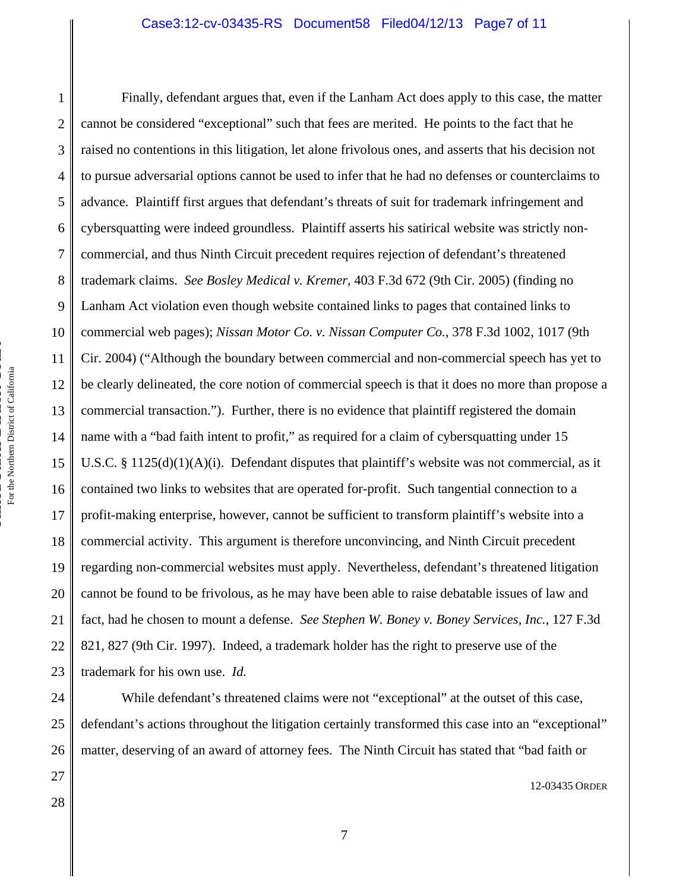#### Case3:12-cv-03435-RS Document58 Filed04/12/13 Page7 of 11

1 2 3 4 5 6 7 8 9 10 11 12 13 14 15 16 17 18 19 20 21 22 23 Finally, defendant argues that, even if the Lanham Act does apply to this case, the matter cannot be considered "exceptional" such that fees are merited. He points to the fact that he raised no contentions in this litigation, let alone frivolous ones, and asserts that his decision not to pursue adversarial options cannot be used to infer that he had no defenses or counterclaims to advance. Plaintiff first argues that defendant's threats of suit for trademark infringement and cybersquatting were indeed groundless. Plaintiff asserts his satirical website was strictly noncommercial, and thus Ninth Circuit precedent requires rejection of defendant's threatened trademark claims. *See Bosley Medical v. Kremer*, 403 F.3d 672 (9th Cir. 2005) (finding no Lanham Act violation even though website contained links to pages that contained links to commercial web pages); *Nissan Motor Co. v. Nissan Computer Co.*, 378 F.3d 1002, 1017 (9th Cir. 2004) ("Although the boundary between commercial and non-commercial speech has yet to be clearly delineated, the core notion of commercial speech is that it does no more than propose a commercial transaction."). Further, there is no evidence that plaintiff registered the domain name with a "bad faith intent to profit," as required for a claim of cybersquatting under 15 U.S.C. § 1125(d)(1)(A)(i). Defendant disputes that plaintiff's website was not commercial, as it contained two links to websites that are operated for-profit. Such tangential connection to a profit-making enterprise, however, cannot be sufficient to transform plaintiff's website into a commercial activity. This argument is therefore unconvincing, and Ninth Circuit precedent regarding non-commercial websites must apply. Nevertheless, defendant's threatened litigation cannot be found to be frivolous, as he may have been able to raise debatable issues of law and fact, had he chosen to mount a defense. *See Stephen W. Boney v. Boney Services, Inc.*, 127 F.3d 821, 827 (9th Cir. 1997). Indeed, a trademark holder has the right to preserve use of the trademark for his own use. *Id.* 

 While defendant's threatened claims were not "exceptional" at the outset of this case, defendant's actions throughout the litigation certainly transformed this case into an "exceptional" matter, deserving of an award of attorney fees. The Ninth Circuit has stated that "bad faith or

12-03435 ORDER

24

25

26

27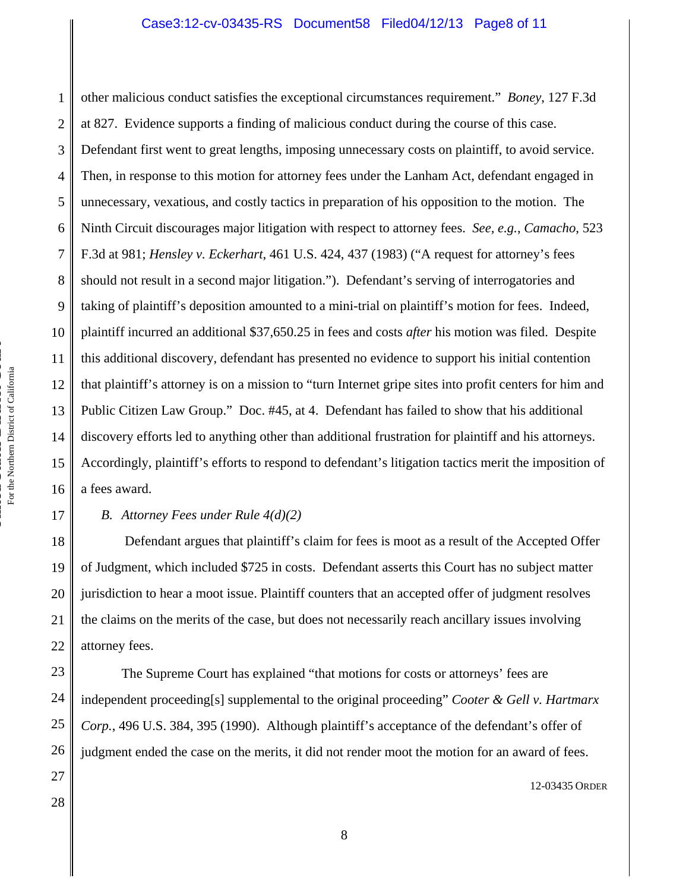1 2 3 4 5 6 7 8 9 10 11 12 13 14 15 16 other malicious conduct satisfies the exceptional circumstances requirement." *Boney*, 127 F.3d at 827. Evidence supports a finding of malicious conduct during the course of this case. Defendant first went to great lengths, imposing unnecessary costs on plaintiff, to avoid service. Then, in response to this motion for attorney fees under the Lanham Act, defendant engaged in unnecessary, vexatious, and costly tactics in preparation of his opposition to the motion. The Ninth Circuit discourages major litigation with respect to attorney fees. *See, e.g.*, *Camacho*, 523 F.3d at 981; *Hensley v. Eckerhart*, 461 U.S. 424, 437 (1983) ("A request for attorney's fees should not result in a second major litigation."). Defendant's serving of interrogatories and taking of plaintiff's deposition amounted to a mini-trial on plaintiff's motion for fees. Indeed, plaintiff incurred an additional \$37,650.25 in fees and costs *after* his motion was filed. Despite this additional discovery, defendant has presented no evidence to support his initial contention that plaintiff's attorney is on a mission to "turn Internet gripe sites into profit centers for him and Public Citizen Law Group." Doc. #45, at 4. Defendant has failed to show that his additional discovery efforts led to anything other than additional frustration for plaintiff and his attorneys. Accordingly, plaintiff's efforts to respond to defendant's litigation tactics merit the imposition of a fees award.

## *B. Attorney Fees under Rule 4(d)(2)*

 Defendant argues that plaintiff's claim for fees is moot as a result of the Accepted Offer of Judgment, which included \$725 in costs. Defendant asserts this Court has no subject matter jurisdiction to hear a moot issue. Plaintiff counters that an accepted offer of judgment resolves the claims on the merits of the case, but does not necessarily reach ancillary issues involving attorney fees.

 The Supreme Court has explained "that motions for costs or attorneys' fees are independent proceeding[s] supplemental to the original proceeding" *Cooter & Gell v. Hartmarx Corp.*, 496 U.S. 384, 395 (1990). Although plaintiff's acceptance of the defendant's offer of judgment ended the case on the merits, it did not render moot the motion for an award of fees.

28

17

18

19

20

21

22

23

24

25

26

27

12-03435 ORDER

8

**United States District Court**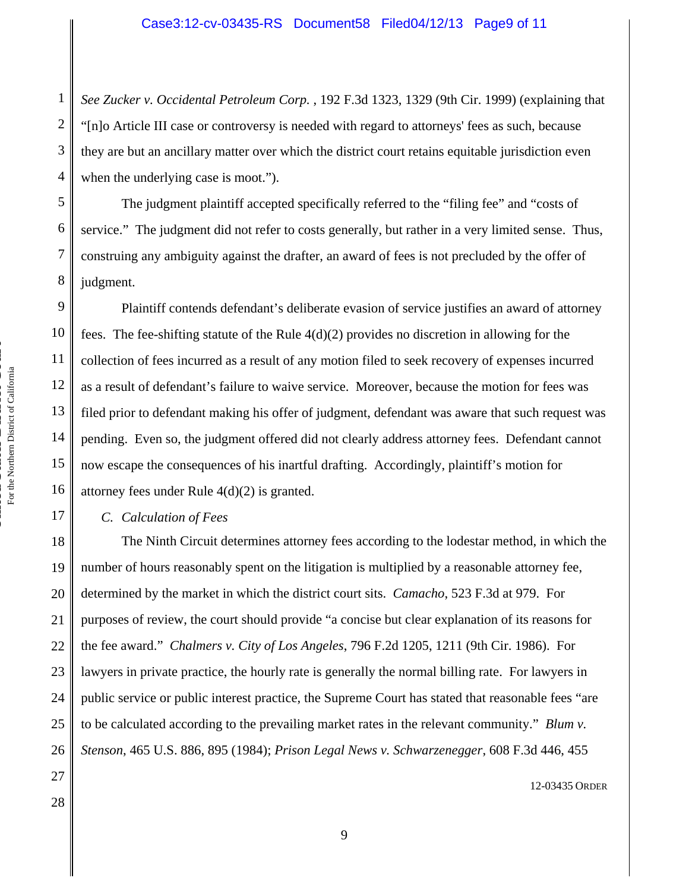*See Zucker v. Occidental Petroleum Corp.* , 192 F.3d 1323, 1329 (9th Cir. 1999) (explaining that "[n]o Article III case or controversy is needed with regard to attorneys' fees as such, because they are but an ancillary matter over which the district court retains equitable jurisdiction even when the underlying case is moot.").

 The judgment plaintiff accepted specifically referred to the "filing fee" and "costs of service." The judgment did not refer to costs generally, but rather in a very limited sense. Thus, construing any ambiguity against the drafter, an award of fees is not precluded by the offer of judgment.

 Plaintiff contends defendant's deliberate evasion of service justifies an award of attorney fees. The fee-shifting statute of the Rule  $4(d)(2)$  provides no discretion in allowing for the collection of fees incurred as a result of any motion filed to seek recovery of expenses incurred as a result of defendant's failure to waive service. Moreover, because the motion for fees was filed prior to defendant making his offer of judgment, defendant was aware that such request was pending. Even so, the judgment offered did not clearly address attorney fees. Defendant cannot now escape the consequences of his inartful drafting. Accordingly, plaintiff's motion for attorney fees under Rule 4(d)(2) is granted.

*C. Calculation of Fees* 

18 19 20 21 22 23 24 25 26 The Ninth Circuit determines attorney fees according to the lodestar method, in which the number of hours reasonably spent on the litigation is multiplied by a reasonable attorney fee, determined by the market in which the district court sits. *Camacho*, 523 F.3d at 979. For purposes of review, the court should provide "a concise but clear explanation of its reasons for the fee award." *Chalmers v. City of Los Angeles*, 796 F.2d 1205, 1211 (9th Cir. 1986). For lawyers in private practice, the hourly rate is generally the normal billing rate. For lawyers in public service or public interest practice, the Supreme Court has stated that reasonable fees "are to be calculated according to the prevailing market rates in the relevant community." *Blum v. Stenson*, 465 U.S. 886, 895 (1984); *Prison Legal News v. Schwarzenegger*, 608 F.3d 446, 455

**United States District Court** For the Northern District of California

For the Northern District of California

1

2

3

4

5

6

7

8

9

10

11

12

13

14

15

16

17

27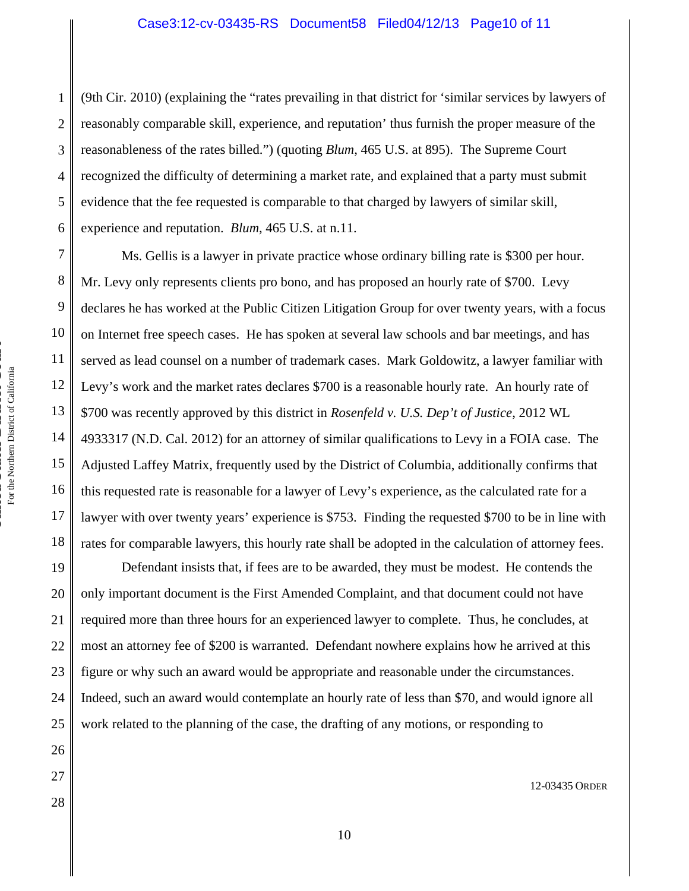(9th Cir. 2010) (explaining the "rates prevailing in that district for 'similar services by lawyers of reasonably comparable skill, experience, and reputation' thus furnish the proper measure of the reasonableness of the rates billed.") (quoting *Blum*, 465 U.S. at 895). The Supreme Court recognized the difficulty of determining a market rate, and explained that a party must submit evidence that the fee requested is comparable to that charged by lawyers of similar skill, experience and reputation. *Blum*, 465 U.S. at n.11.

7 8 9 10 11 12 13 14 15 16 17 18 Ms. Gellis is a lawyer in private practice whose ordinary billing rate is \$300 per hour. Mr. Levy only represents clients pro bono, and has proposed an hourly rate of \$700. Levy declares he has worked at the Public Citizen Litigation Group for over twenty years, with a focus on Internet free speech cases. He has spoken at several law schools and bar meetings, and has served as lead counsel on a number of trademark cases. Mark Goldowitz, a lawyer familiar with Levy's work and the market rates declares \$700 is a reasonable hourly rate. An hourly rate of \$700 was recently approved by this district in *Rosenfeld v. U.S. Dep't of Justice*, 2012 WL 4933317 (N.D. Cal. 2012) for an attorney of similar qualifications to Levy in a FOIA case. The Adjusted Laffey Matrix, frequently used by the District of Columbia, additionally confirms that this requested rate is reasonable for a lawyer of Levy's experience, as the calculated rate for a lawyer with over twenty years' experience is \$753. Finding the requested \$700 to be in line with rates for comparable lawyers, this hourly rate shall be adopted in the calculation of attorney fees.

 Defendant insists that, if fees are to be awarded, they must be modest. He contends the only important document is the First Amended Complaint, and that document could not have required more than three hours for an experienced lawyer to complete. Thus, he concludes, at most an attorney fee of \$200 is warranted. Defendant nowhere explains how he arrived at this figure or why such an award would be appropriate and reasonable under the circumstances. Indeed, such an award would contemplate an hourly rate of less than \$70, and would ignore all work related to the planning of the case, the drafting of any motions, or responding to

28

12-03435 ORDER

**United States District Court**

1

2

3

4

5